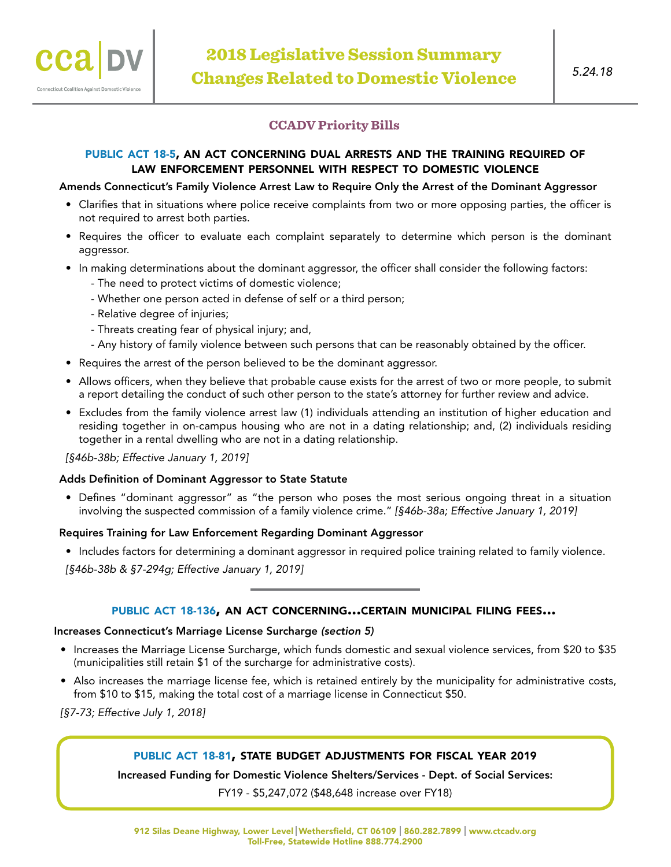# **CCADV Priority Bills**

# PUBLIC ACT 18-5, AN ACT CONCERNING DUAL ARRESTS AND THE TRAINING REQUIRED OF law enforcement personnel with respect to domestic violence

## Amends Connecticut's Family Violence Arrest Law to Require Only the Arrest of the Dominant Aggressor

- Clarifies that in situations where police receive complaints from two or more opposing parties, the officer is not required to arrest both parties.
- Requires the officer to evaluate each complaint separately to determine which person is the dominant aggressor.
- In making determinations about the dominant aggressor, the officer shall consider the following factors:
	- The need to protect victims of domestic violence;
	- Whether one person acted in defense of self or a third person;
	- Relative degree of injuries;
	- Threats creating fear of physical injury; and,
	- Any history of family violence between such persons that can be reasonably obtained by the officer.
- Requires the arrest of the person believed to be the dominant aggressor.
- Allows officers, when they believe that probable cause exists for the arrest of two or more people, to submit a report detailing the conduct of such other person to the state's attorney for further review and advice.
- Excludes from the family violence arrest law (1) individuals attending an institution of higher education and residing together in on-campus housing who are not in a dating relationship; and, (2) individuals residing together in a rental dwelling who are not in a dating relationship.

*[§46b-38b; Effective January 1, 2019]*

## Adds Definition of Dominant Aggressor to State Statute

• Defines "dominant aggressor" as "the person who poses the most serious ongoing threat in a situation involving the suspected commission of a family violence crime." *[§46b-38a; Effective January 1, 2019]*

## Requires Training for Law Enforcement Regarding Dominant Aggressor

• Includes factors for determining a dominant aggressor in required police training related to family violence.

*[§46b-38b & §7-294g; Effective January 1, 2019]*

# public act [18-136](https://www.cga.ct.gov/2018/ACT/pa/pdf/2018PA-00136-R00HB-05591-PA.pdf), an act concerning...certain municipal filing fees...

## Increases Connecticut's Marriage License Surcharge *(section 5)*

- Increases the Marriage License Surcharge, which funds domestic and sexual violence services, from \$20 to \$35 (municipalities still retain \$1 of the surcharge for administrative costs).
- Also increases the marriage license fee, which is retained entirely by the municipality for administrative costs, from \$10 to \$15, making the total cost of a marriage license in Connecticut \$50.

*[§7-73; Effective July 1, 2018]*

# public act [18-81](https://www.cga.ct.gov/2018/ACT/pa/pdf/2018PA-00081-R00SB-00543-PA.pdf), state budget adjustments for fiscal year 2019

Increased Funding for Domestic Violence Shelters/Services - Dept. of Social Services:

FY19 - \$5,247,072 (\$48,648 increase over FY18)